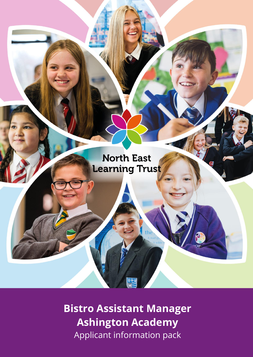

**Bistro Assistant Manager Ashington Academy** Applicant information pack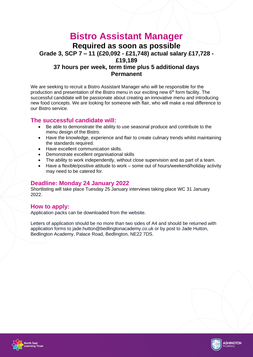## **Bistro Assistant Manager Required as soon as possible Grade 3, SCP 7 – 11 (£20,092 - £21,748) actual salary £17,728 - £19,189 37 hours per week, term time plus 5 additional days Permanent**

We are seeking to recruit a Bistro Assistant Manager who will be responsible for the production and presentation of the Bistro menu in our exciting new  $6<sup>th</sup>$  form facility. The successful candidate will be passionate about creating an innovative menu and introducing new food concepts. We are looking for someone with flair, who will make a real difference to our Bistro service.

#### **The successful candidate will:**

- Be able to demonstrate the ability to use seasonal produce and contribute to the menu design of the Bistro.
- Have the knowledge, experience and flair to create culinary trends whilst maintaining the standards required.
- Have excellent communication skills.
- Demonstrate excellent organisational skills
- The ability to work independently, without close supervision and as part of a team.
- Have a flexible/positive attitude to work some out of hours/weekend/holiday activity may need to be catered for.

#### **Deadline: Monday 24 January 2022**

Shortlisting will take place Tuesday 25 January interviews taking place WC 31 January 2022.

#### **How to apply:**

Application packs can be downloaded from the website.

Letters of application should be no more than two sides of A4 and should be returned with application forms to jade.hutton@bedlingtonacademy.co.uk or by post to Jade Hutton, Bedlington Academy, Palace Road, Bedlington, NE22 7DS.



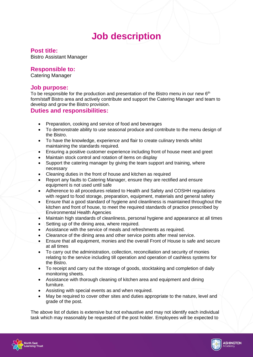# **Job description**

#### **Post title:**

Bistro Assistant Manager

#### **Responsible to:**

Catering Manager

#### **Job purpose:**

To be responsible for the production and presentation of the Bistro menu in our new  $6<sup>th</sup>$ form/staff Bistro area and actively contribute and support the Catering Manager and team to develop and grow the Bistro provision.

#### **Duties and responsibilities:**

- Preparation, cooking and service of food and beverages
- To demonstrate ability to use seasonal produce and contribute to the menu design of the Bistro.
- To have the knowledge, experience and flair to create culinary trends whilst maintaining the standards required.
- Ensuring a positive customer experience including front of house meet and greet
- Maintain stock control and rotation of items on display
- Support the catering manager by giving the team support and training, where necessary
- Cleaning duties in the front of house and kitchen as required
- Report any faults to Catering Manager, ensure they are rectified and ensure equipment is not used until safe
- Adherence to all procedures related to Health and Safety and COSHH regulations with regard to food storage, preparation, equipment, materials and general safety
- Ensure that a good standard of hygiene and cleanliness is maintained throughout the kitchen and front of house, to meet the required standards of practice prescribed by Environmental Health Agencies
- Maintain high standards of cleanliness, personal hygiene and appearance at all times
- Setting up of the dining area, where required.
- Assistance with the service of meals and refreshments as required.
- Clearance of the dining area and other service points after meal service.
- Ensure that all equipment, monies and the overall Front of House is safe and secure at all times
- To carry out the administration, collection, reconciliation and security of monies relating to the service including till operation and operation of cashless systems for the Bistro.
- To receipt and carry out the storage of goods, stocktaking and completion of daily monitoring sheets.
- Assistance with thorough cleaning of kitchen area and equipment and dining furniture.
- Assisting with special events as and when required.
- May be required to cover other sites and duties appropriate to the nature, level and grade of the post.

The above list of duties is extensive but not exhaustive and may not identify each individual task which may reasonably be requested of the post holder. Employees will be expected to



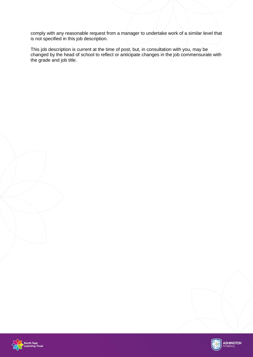comply with any reasonable request from a manager to undertake work of a similar level that is not specified in this job description.

This job description is current at the time of post, but, in consultation with you, may be changed by the head of school to reflect or anticipate changes in the job commensurate with the grade and job title.



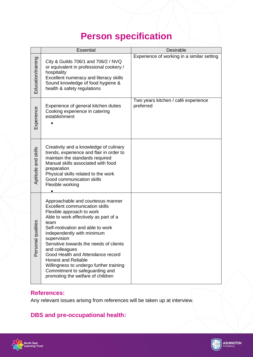# **Person specification**

|                       | <b>Essential</b>                                                                                                                                                                                                                                                                                                                                                                                                                                                                           | <b>Desirable</b>                                 |
|-----------------------|--------------------------------------------------------------------------------------------------------------------------------------------------------------------------------------------------------------------------------------------------------------------------------------------------------------------------------------------------------------------------------------------------------------------------------------------------------------------------------------------|--------------------------------------------------|
| Education/training    | City & Guilds 706/1 and 706/2 / NVQ<br>or equivalent in professional cookery /<br>hospitality<br>Excellent numeracy and literacy skills<br>Sound knowledge of food hygiene &<br>health & safety regulations                                                                                                                                                                                                                                                                                | Experience of working in a similar setting       |
| Experience            | Experience of general kitchen duties<br>Cooking experience in catering<br>establishment                                                                                                                                                                                                                                                                                                                                                                                                    | Two years kitchen / café experience<br>preferred |
| Aptitude and skills   | Creativity and a knowledge of culinary<br>trends, experience and flair in order to<br>maintain the standards required<br>Manual skills associated with food<br>preparation<br>Physical skills related to the work<br>Good communication skills<br>Flexible working                                                                                                                                                                                                                         |                                                  |
| qualities<br>Personal | Approachable and courteous manner<br><b>Excellent communication skills</b><br>Flexible approach to work<br>Able to work effectively as part of a<br>team<br>Self-motivation and able to work<br>independently with minimum<br>supervision<br>Sensitive towards the needs of clients<br>and colleagues<br>Good Health and Attendance record<br><b>Honest and Reliable</b><br>Willingness to undergo further training<br>Commitment to safeguarding and<br>promoting the welfare of children |                                                  |

### **References:**

Any relevant issues arising from references will be taken up at interview.

# **DBS and pre-occupational health:**